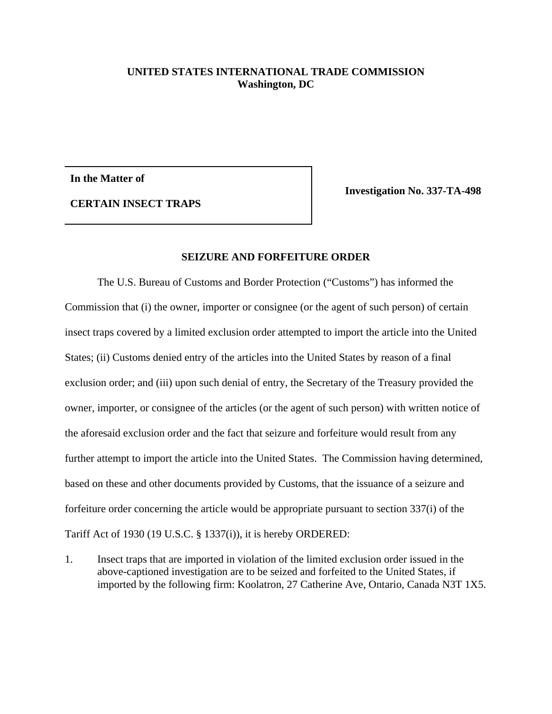## **UNITED STATES INTERNATIONAL TRADE COMMISSION Washington, DC**

**In the Matter of**

**Investigation No. 337-TA-498**

**CERTAIN INSECT TRAPS**

## **SEIZURE AND FORFEITURE ORDER**

The U.S. Bureau of Customs and Border Protection ("Customs") has informed the Commission that (i) the owner, importer or consignee (or the agent of such person) of certain insect traps covered by a limited exclusion order attempted to import the article into the United States; (ii) Customs denied entry of the articles into the United States by reason of a final exclusion order; and (iii) upon such denial of entry, the Secretary of the Treasury provided the owner, importer, or consignee of the articles (or the agent of such person) with written notice of the aforesaid exclusion order and the fact that seizure and forfeiture would result from any further attempt to import the article into the United States. The Commission having determined, based on these and other documents provided by Customs, that the issuance of a seizure and forfeiture order concerning the article would be appropriate pursuant to section 337(i) of the Tariff Act of 1930 (19 U.S.C. § 1337(i)), it is hereby ORDERED:

1. Insect traps that are imported in violation of the limited exclusion order issued in the above-captioned investigation are to be seized and forfeited to the United States, if imported by the following firm: Koolatron, 27 Catherine Ave, Ontario, Canada N3T 1X5.